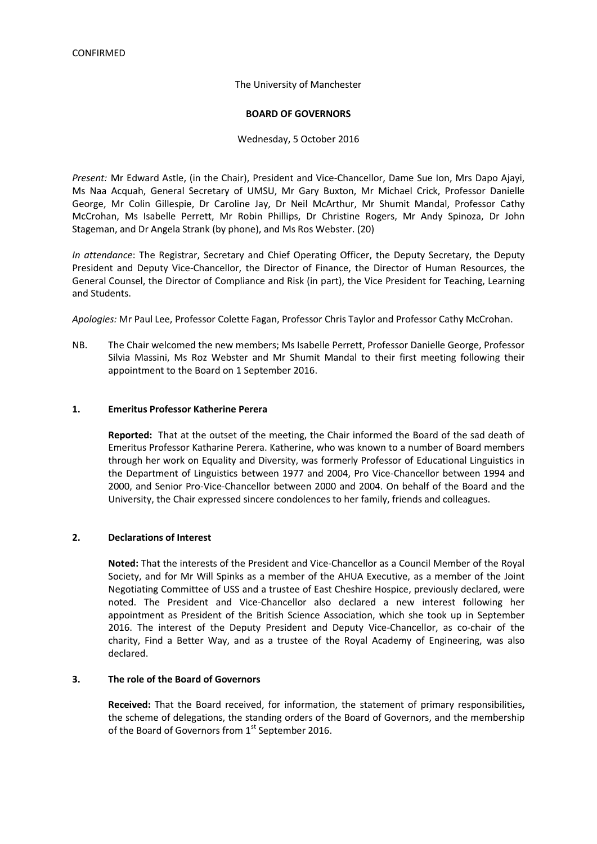#### The University of Manchester

#### **BOARD OF GOVERNORS**

#### Wednesday, 5 October 2016

*Present:* Mr Edward Astle, (in the Chair), President and Vice-Chancellor, Dame Sue Ion, Mrs Dapo Ajayi, Ms Naa Acquah, General Secretary of UMSU, Mr Gary Buxton, Mr Michael Crick, Professor Danielle George, Mr Colin Gillespie, Dr Caroline Jay, Dr Neil McArthur, Mr Shumit Mandal, Professor Cathy McCrohan, Ms Isabelle Perrett, Mr Robin Phillips, Dr Christine Rogers, Mr Andy Spinoza, Dr John Stageman, and Dr Angela Strank (by phone), and Ms Ros Webster. (20)

*In attendance*: The Registrar, Secretary and Chief Operating Officer, the Deputy Secretary, the Deputy President and Deputy Vice-Chancellor, the Director of Finance, the Director of Human Resources, the General Counsel, the Director of Compliance and Risk (in part), the Vice President for Teaching, Learning and Students.

*Apologies:* Mr Paul Lee, Professor Colette Fagan, Professor Chris Taylor and Professor Cathy McCrohan.

NB. The Chair welcomed the new members; Ms Isabelle Perrett, Professor Danielle George, Professor Silvia Massini, Ms Roz Webster and Mr Shumit Mandal to their first meeting following their appointment to the Board on 1 September 2016.

#### **1. Emeritus Professor Katherine Perera**

**Reported:** That at the outset of the meeting, the Chair informed the Board of the sad death of Emeritus Professor Katharine Perera. Katherine, who was known to a number of Board members through her work on Equality and Diversity, was formerly Professor of Educational Linguistics in the Department of Linguistics between 1977 and 2004, Pro Vice-Chancellor between 1994 and 2000, and Senior Pro-Vice-Chancellor between 2000 and 2004. On behalf of the Board and the University, the Chair expressed sincere condolences to her family, friends and colleagues.

#### **2. Declarations of Interest**

**Noted:** That the interests of the President and Vice-Chancellor as a Council Member of the Royal Society, and for Mr Will Spinks as a member of the AHUA Executive, as a member of the Joint Negotiating Committee of USS and a trustee of East Cheshire Hospice, previously declared, were noted. The President and Vice-Chancellor also declared a new interest following her appointment as President of the British Science Association, which she took up in September 2016. The interest of the Deputy President and Deputy Vice-Chancellor, as co-chair of the charity, Find a Better Way, and as a trustee of the Royal Academy of Engineering, was also declared.

#### **3. The role of the Board of Governors**

**Received:** That the Board received, for information, the statement of primary responsibilities**,**  the scheme of delegations, the standing orders of the Board of Governors, and the membership of the Board of Governors from 1<sup>st</sup> September 2016.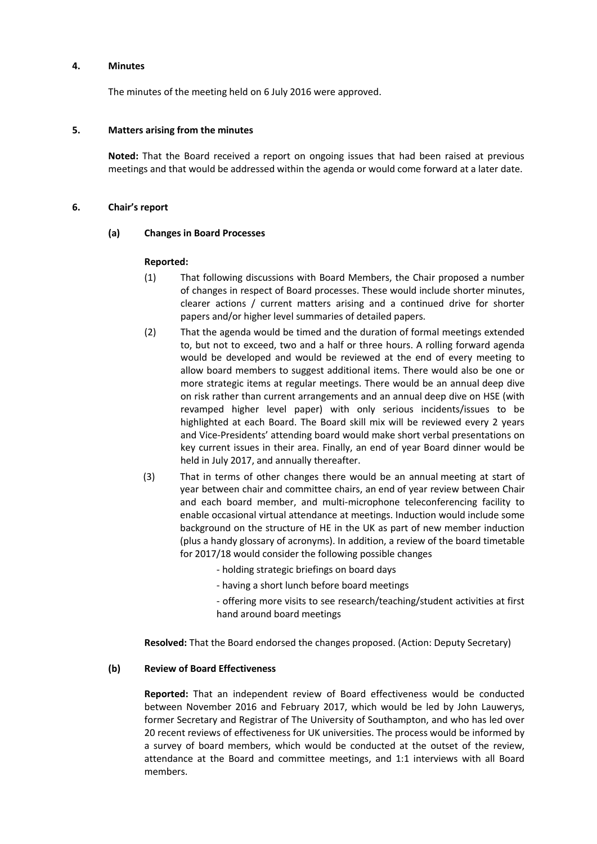#### **4. Minutes**

The minutes of the meeting held on 6 July 2016 were approved.

### **5. Matters arising from the minutes**

**Noted:** That the Board received a report on ongoing issues that had been raised at previous meetings and that would be addressed within the agenda or would come forward at a later date.

### **6. Chair's report**

### **(a) Changes in Board Processes**

### **Reported:**

- (1) That following discussions with Board Members, the Chair proposed a number of changes in respect of Board processes. These would include shorter minutes, clearer actions / current matters arising and a continued drive for shorter papers and/or higher level summaries of detailed papers.
- (2) That the agenda would be timed and the duration of formal meetings extended to, but not to exceed, two and a half or three hours. A rolling forward agenda would be developed and would be reviewed at the end of every meeting to allow board members to suggest additional items. There would also be one or more strategic items at regular meetings. There would be an annual deep dive on risk rather than current arrangements and an annual deep dive on HSE (with revamped higher level paper) with only serious incidents/issues to be highlighted at each Board. The Board skill mix will be reviewed every 2 years and Vice-Presidents' attending board would make short verbal presentations on key current issues in their area. Finally, an end of year Board dinner would be held in July 2017, and annually thereafter.
- (3) That in terms of other changes there would be an annual meeting at start of year between chair and committee chairs, an end of year review between Chair and each board member, and multi-microphone teleconferencing facility to enable occasional virtual attendance at meetings. Induction would include some background on the structure of HE in the UK as part of new member induction (plus a handy glossary of acronyms). In addition, a review of the board timetable for 2017/18 would consider the following possible changes
	- holding strategic briefings on board days
	- having a short lunch before board meetings
	- offering more visits to see research/teaching/student activities at first hand around board meetings

**Resolved:** That the Board endorsed the changes proposed. (Action: Deputy Secretary)

#### **(b) Review of Board Effectiveness**

**Reported:** That an independent review of Board effectiveness would be conducted between November 2016 and February 2017, which would be led by John Lauwerys, former Secretary and Registrar of The University of Southampton, and who has led over 20 recent reviews of effectiveness for UK universities. The process would be informed by a survey of board members, which would be conducted at the outset of the review, attendance at the Board and committee meetings, and 1:1 interviews with all Board members.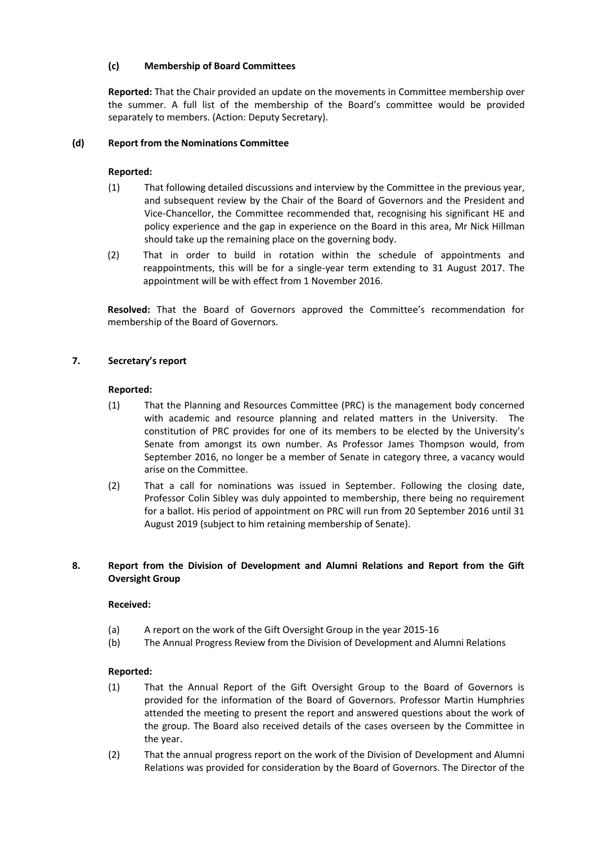## **(c) Membership of Board Committees**

**Reported:** That the Chair provided an update on the movements in Committee membership over the summer. A full list of the membership of the Board's committee would be provided separately to members. (Action: Deputy Secretary).

## **(d) Report from the Nominations Committee**

# **Reported:**

- (1) That following detailed discussions and interview by the Committee in the previous year, and subsequent review by the Chair of the Board of Governors and the President and Vice-Chancellor, the Committee recommended that, recognising his significant HE and policy experience and the gap in experience on the Board in this area, Mr Nick Hillman should take up the remaining place on the governing body.
- (2) That in order to build in rotation within the schedule of appointments and reappointments, this will be for a single-year term extending to 31 August 2017. The appointment will be with effect from 1 November 2016.

**Resolved:** That the Board of Governors approved the Committee's recommendation for membership of the Board of Governors.

## **7. Secretary's report**

## **Reported:**

- (1) That the Planning and Resources Committee (PRC) is the management body concerned with academic and resource planning and related matters in the University. The constitution of PRC provides for one of its members to be elected by the University's Senate from amongst its own number. As Professor James Thompson would, from September 2016, no longer be a member of Senate in category three, a vacancy would arise on the Committee.
- (2) That a call for nominations was issued in September. Following the closing date, Professor Colin Sibley was duly appointed to membership, there being no requirement for a ballot. His period of appointment on PRC will run from 20 September 2016 until 31 August 2019 (subject to him retaining membership of Senate).

## **8. Report from the Division of Development and Alumni Relations and Report from the Gift Oversight Group**

## **Received:**

- (a) A report on the work of the Gift Oversight Group in the year 2015-16
- (b) The Annual Progress Review from the Division of Development and Alumni Relations

- (1) That the Annual Report of the Gift Oversight Group to the Board of Governors is provided for the information of the Board of Governors. Professor Martin Humphries attended the meeting to present the report and answered questions about the work of the group. The Board also received details of the cases overseen by the Committee in the year.
- (2) That the annual progress report on the work of the Division of Development and Alumni Relations was provided for consideration by the Board of Governors. The Director of the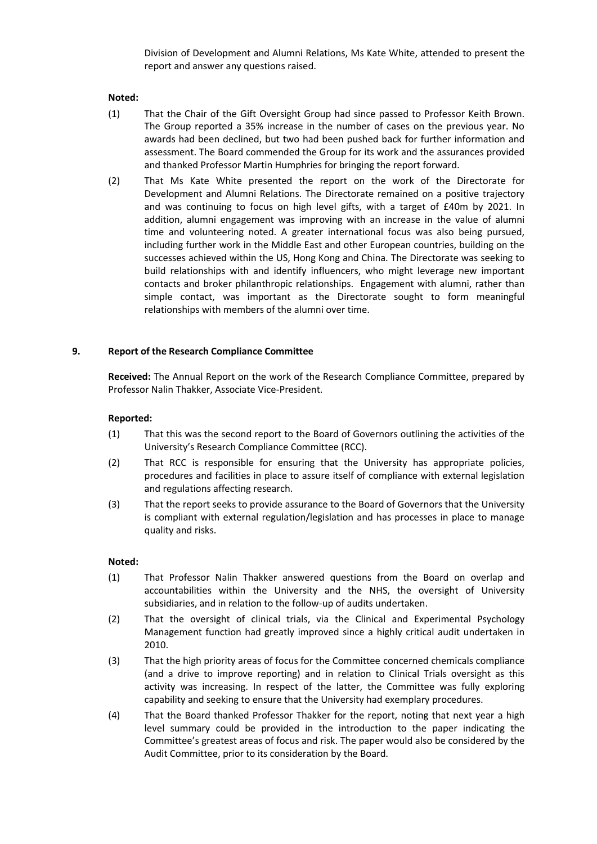Division of Development and Alumni Relations, Ms Kate White, attended to present the report and answer any questions raised.

### **Noted:**

- (1) That the Chair of the Gift Oversight Group had since passed to Professor Keith Brown. The Group reported a 35% increase in the number of cases on the previous year. No awards had been declined, but two had been pushed back for further information and assessment. The Board commended the Group for its work and the assurances provided and thanked Professor Martin Humphries for bringing the report forward.
- (2) That Ms Kate White presented the report on the work of the Directorate for Development and Alumni Relations. The Directorate remained on a positive trajectory and was continuing to focus on high level gifts, with a target of £40m by 2021. In addition, alumni engagement was improving with an increase in the value of alumni time and volunteering noted. A greater international focus was also being pursued, including further work in the Middle East and other European countries, building on the successes achieved within the US, Hong Kong and China. The Directorate was seeking to build relationships with and identify influencers, who might leverage new important contacts and broker philanthropic relationships. Engagement with alumni, rather than simple contact, was important as the Directorate sought to form meaningful relationships with members of the alumni over time.

### **9. Report of the Research Compliance Committee**

**Received:** The Annual Report on the work of the Research Compliance Committee, prepared by Professor Nalin Thakker, Associate Vice-President.

### **Reported:**

- (1) That this was the second report to the Board of Governors outlining the activities of the University's Research Compliance Committee (RCC).
- (2) That RCC is responsible for ensuring that the University has appropriate policies, procedures and facilities in place to assure itself of compliance with external legislation and regulations affecting research.
- (3) That the report seeks to provide assurance to the Board of Governors that the University is compliant with external regulation/legislation and has processes in place to manage quality and risks.

#### **Noted:**

- (1) That Professor Nalin Thakker answered questions from the Board on overlap and accountabilities within the University and the NHS, the oversight of University subsidiaries, and in relation to the follow-up of audits undertaken.
- (2) That the oversight of clinical trials, via the Clinical and Experimental Psychology Management function had greatly improved since a highly critical audit undertaken in 2010.
- (3) That the high priority areas of focus for the Committee concerned chemicals compliance (and a drive to improve reporting) and in relation to Clinical Trials oversight as this activity was increasing. In respect of the latter, the Committee was fully exploring capability and seeking to ensure that the University had exemplary procedures.
- (4) That the Board thanked Professor Thakker for the report, noting that next year a high level summary could be provided in the introduction to the paper indicating the Committee's greatest areas of focus and risk. The paper would also be considered by the Audit Committee, prior to its consideration by the Board.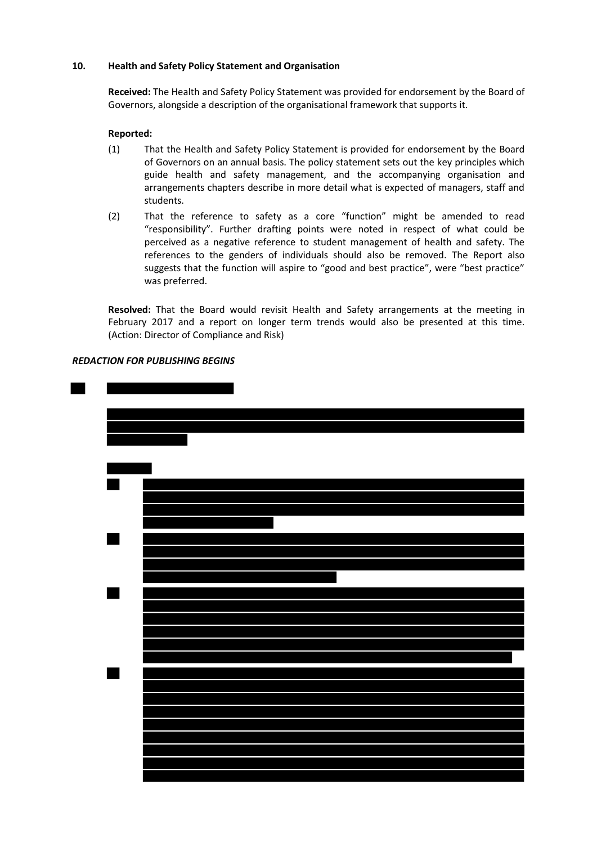### **10. Health and Safety Policy Statement and Organisation**

**Received:** The Health and Safety Policy Statement was provided for endorsement by the Board of Governors, alongside a description of the organisational framework that supports it.

### **Reported:**

- (1) That the Health and Safety Policy Statement is provided for endorsement by the Board of Governors on an annual basis. The policy statement sets out the key principles which guide health and safety management, and the accompanying organisation and arrangements chapters describe in more detail what is expected of managers, staff and students.
- (2) That the reference to safety as a core "function" might be amended to read "responsibility". Further drafting points were noted in respect of what could be perceived as a negative reference to student management of health and safety. The references to the genders of individuals should also be removed. The Report also suggests that the function will aspire to "good and best practice", were "best practice" was preferred.

 **Resolved:** That the Board would revisit Health and Safety arrangements at the meeting in February 2017 and a report on longer term trends would also be presented at this time. (Action: Director of Compliance and Risk)

### *REDACTION FOR PUBLISHING BEGINS*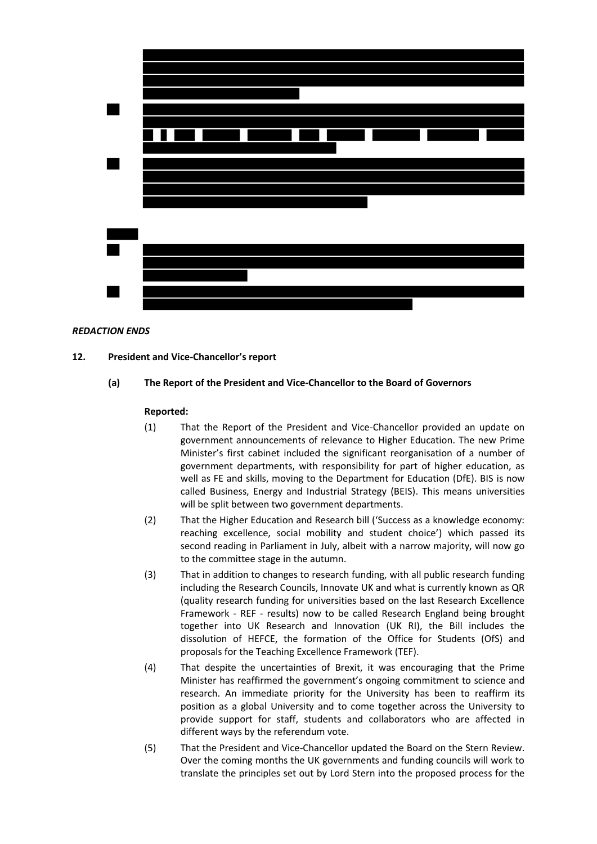

### *REDACTION ENDS*

#### **12. President and Vice-Chancellor's report**

### **(a) The Report of the President and Vice-Chancellor to the Board of Governors**

- (1) That the Report of the President and Vice-Chancellor provided an update on government announcements of relevance to Higher Education. The new Prime Minister's first cabinet included the significant reorganisation of a number of government departments, with responsibility for part of higher education, as well as FE and skills, moving to the Department for Education (DfE). BIS is now called Business, Energy and Industrial Strategy (BEIS). This means universities will be split between two government departments.
- (2) That the Higher Education and Research bill ('Success as a knowledge economy: reaching excellence, social mobility and student choice') which passed its second reading in Parliament in July, albeit with a narrow majority, will now go to the committee stage in the autumn.
- (3) That in addition to changes to research funding, with all public research funding including the Research Councils, Innovate UK and what is currently known as QR (quality research funding for universities based on the last Research Excellence Framework - REF - results) now to be called Research England being brought together into UK Research and Innovation (UK RI), the Bill includes the dissolution of HEFCE, the formation of the Office for Students (OfS) and proposals for the Teaching Excellence Framework (TEF).
- (4) That despite the uncertainties of Brexit, it was encouraging that the Prime Minister has reaffirmed the government's ongoing commitment to science and research. An immediate priority for the University has been to reaffirm its position as a global University and to come together across the University to provide support for staff, students and collaborators who are affected in different ways by the referendum vote.
- (5) That the President and Vice-Chancellor updated the Board on the Stern Review. Over the coming months the UK governments and funding councils will work to translate the principles set out by Lord Stern into the proposed process for the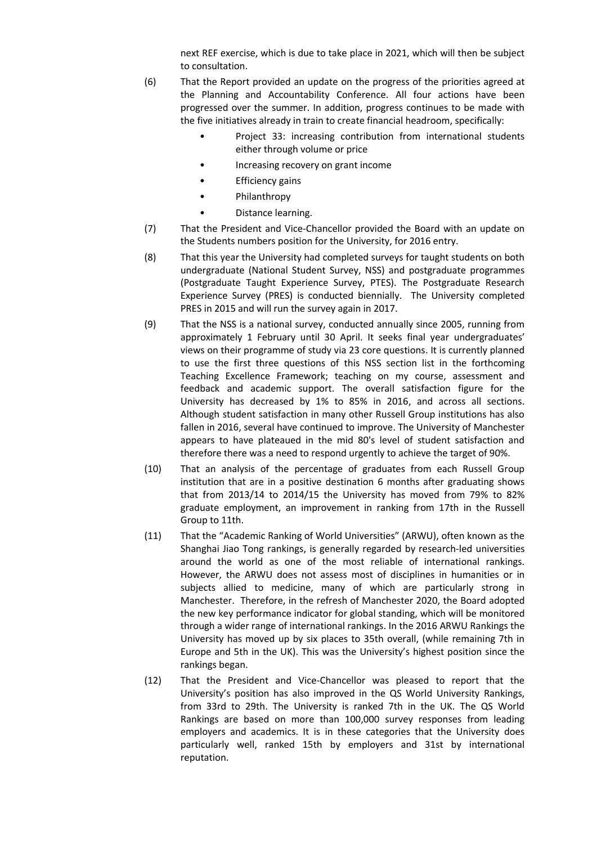next REF exercise, which is due to take place in 2021, which will then be subject to consultation.

- (6) That the Report provided an update on the progress of the priorities agreed at the Planning and Accountability Conference. All four actions have been progressed over the summer. In addition, progress continues to be made with the five initiatives already in train to create financial headroom, specifically:
	- Project 33: increasing contribution from international students either through volume or price
	- Increasing recovery on grant income
	- **Efficiency gains**
	- Philanthropy
	- Distance learning.
- (7) That the President and Vice-Chancellor provided the Board with an update on the Students numbers position for the University, for 2016 entry.
- (8) That this year the University had completed surveys for taught students on both undergraduate (National Student Survey, NSS) and postgraduate programmes (Postgraduate Taught Experience Survey, PTES). The Postgraduate Research Experience Survey (PRES) is conducted biennially. The University completed PRES in 2015 and will run the survey again in 2017.
- (9) That the NSS is a national survey, conducted annually since 2005, running from approximately 1 February until 30 April. It seeks final year undergraduates' views on their programme of study via 23 core questions. It is currently planned to use the first three questions of this NSS section list in the forthcoming Teaching Excellence Framework; teaching on my course, assessment and feedback and academic support. The overall satisfaction figure for the University has decreased by 1% to 85% in 2016, and across all sections. Although student satisfaction in many other Russell Group institutions has also fallen in 2016, several have continued to improve. The University of Manchester appears to have plateaued in the mid 80's level of student satisfaction and therefore there was a need to respond urgently to achieve the target of 90%.
- (10) That an analysis of the percentage of graduates from each Russell Group institution that are in a positive destination 6 months after graduating shows that from 2013/14 to 2014/15 the University has moved from 79% to 82% graduate employment, an improvement in ranking from 17th in the Russell Group to 11th.
- (11) That the "Academic Ranking of World Universities" (ARWU), often known as the Shanghai Jiao Tong rankings, is generally regarded by research-led universities around the world as one of the most reliable of international rankings. However, the ARWU does not assess most of disciplines in humanities or in subjects allied to medicine, many of which are particularly strong in Manchester. Therefore, in the refresh of Manchester 2020, the Board adopted the new key performance indicator for global standing, which will be monitored through a wider range of international rankings. In the 2016 ARWU Rankings the University has moved up by six places to 35th overall, (while remaining 7th in Europe and 5th in the UK). This was the University's highest position since the rankings began.
- (12) That the President and Vice-Chancellor was pleased to report that the University's position has also improved in the QS World University Rankings, from 33rd to 29th. The University is ranked 7th in the UK. The QS World Rankings are based on more than 100,000 survey responses from leading employers and academics. It is in these categories that the University does particularly well, ranked 15th by employers and 31st by international reputation.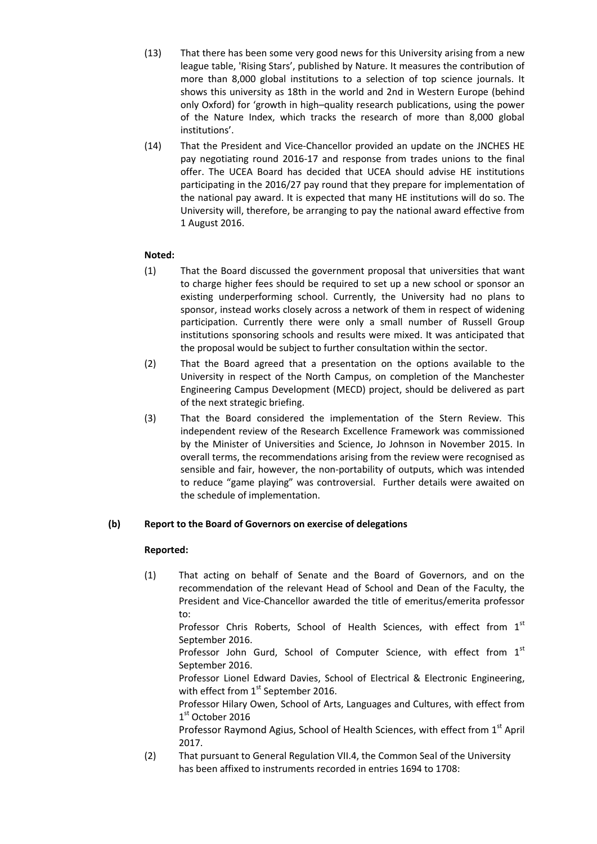- (13) That there has been some very good news for this University arising from a new league table, 'Rising Stars', published by Nature. It measures the contribution of more than 8,000 global institutions to a selection of top science journals. It shows this university as 18th in the world and 2nd in Western Europe (behind only Oxford) for 'growth in high–quality research publications, using the power of the Nature Index, which tracks the research of more than 8,000 global institutions'.
- (14) That the President and Vice-Chancellor provided an update on the JNCHES HE pay negotiating round 2016-17 and response from trades unions to the final offer. The UCEA Board has decided that UCEA should advise HE institutions participating in the 2016/27 pay round that they prepare for implementation of the national pay award. It is expected that many HE institutions will do so. The University will, therefore, be arranging to pay the national award effective from 1 August 2016.

# **Noted:**

- (1) That the Board discussed the government proposal that universities that want to charge higher fees should be required to set up a new school or sponsor an existing underperforming school. Currently, the University had no plans to sponsor, instead works closely across a network of them in respect of widening participation. Currently there were only a small number of Russell Group institutions sponsoring schools and results were mixed. It was anticipated that the proposal would be subject to further consultation within the sector.
- (2) That the Board agreed that a presentation on the options available to the University in respect of the North Campus, on completion of the Manchester Engineering Campus Development (MECD) project, should be delivered as part of the next strategic briefing.
- (3) That the Board considered the implementation of the Stern Review. This independent review of the Research Excellence Framework was commissioned by the Minister of Universities and Science, Jo Johnson in November 2015. In overall terms, the recommendations arising from the review were recognised as sensible and fair, however, the non-portability of outputs, which was intended to reduce "game playing" was controversial. Further details were awaited on the schedule of implementation.

## **(b) Report to the Board of Governors on exercise of delegations**

## **Reported:**

(1) That acting on behalf of Senate and the Board of Governors, and on the recommendation of the relevant Head of School and Dean of the Faculty, the President and Vice-Chancellor awarded the title of emeritus/emerita professor to:

Professor Chris Roberts, School of Health Sciences, with effect from 1<sup>st</sup> September 2016.

Professor John Gurd, School of Computer Science, with effect from 1st September 2016.

Professor Lionel Edward Davies, School of Electrical & Electronic Engineering, with effect from  $1<sup>st</sup>$  September 2016.

Professor Hilary Owen, School of Arts, Languages and Cultures, with effect from 1 st October 2016

Professor Raymond Agius, School of Health Sciences, with effect from 1<sup>st</sup> April 2017.

(2) That pursuant to General Regulation VII.4, the Common Seal of the University has been affixed to instruments recorded in entries 1694 to 1708: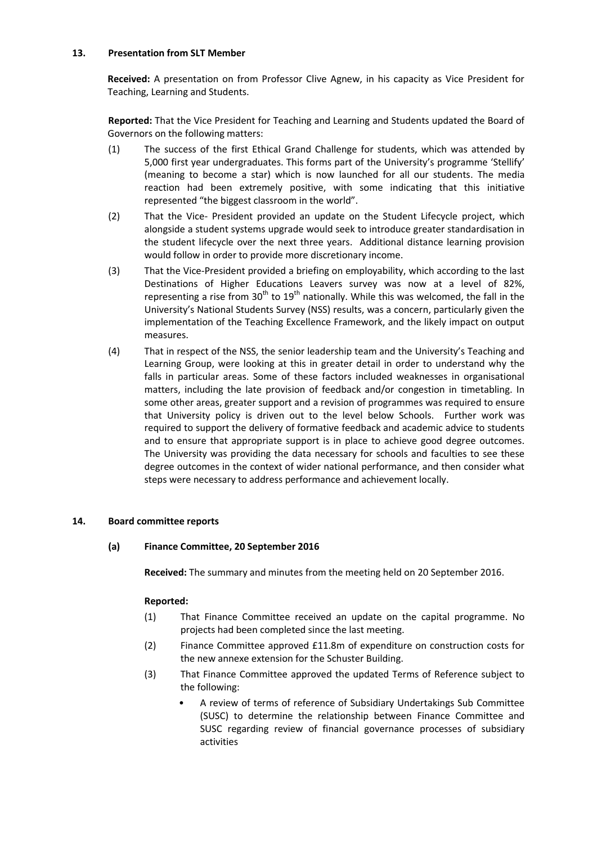### **13. Presentation from SLT Member**

**Received:** A presentation on from Professor Clive Agnew, in his capacity as Vice President for Teaching, Learning and Students.

**Reported:** That the Vice President for Teaching and Learning and Students updated the Board of Governors on the following matters:

- (1) The success of the first Ethical Grand Challenge for students, which was attended by 5,000 first year undergraduates. This forms part of the University's programme 'Stellify' (meaning to become a star) which is now launched for all our students. The media reaction had been extremely positive, with some indicating that this initiative represented "the biggest classroom in the world".
- (2) That the Vice- President provided an update on the Student Lifecycle project, which alongside a student systems upgrade would seek to introduce greater standardisation in the student lifecycle over the next three years. Additional distance learning provision would follow in order to provide more discretionary income.
- (3) That the Vice-President provided a briefing on employability, which according to the last Destinations of Higher Educations Leavers survey was now at a level of 82%, representing a rise from  $30<sup>th</sup>$  to  $19<sup>th</sup>$  nationally. While this was welcomed, the fall in the University's National Students Survey (NSS) results, was a concern, particularly given the implementation of the Teaching Excellence Framework, and the likely impact on output measures.
- (4) That in respect of the NSS, the senior leadership team and the University's Teaching and Learning Group, were looking at this in greater detail in order to understand why the falls in particular areas. Some of these factors included weaknesses in organisational matters, including the late provision of feedback and/or congestion in timetabling. In some other areas, greater support and a revision of programmes was required to ensure that University policy is driven out to the level below Schools. Further work was required to support the delivery of formative feedback and academic advice to students and to ensure that appropriate support is in place to achieve good degree outcomes. The University was providing the data necessary for schools and faculties to see these degree outcomes in the context of wider national performance, and then consider what steps were necessary to address performance and achievement locally.

## **14. Board committee reports**

## **(a) Finance Committee, 20 September 2016**

**Received:** The summary and minutes from the meeting held on 20 September 2016.

- (1) That Finance Committee received an update on the capital programme. No projects had been completed since the last meeting.
- (2) Finance Committee approved £11.8m of expenditure on construction costs for the new annexe extension for the Schuster Building.
- (3) That Finance Committee approved the updated Terms of Reference subject to the following:
	- A review of terms of reference of Subsidiary Undertakings Sub Committee (SUSC) to determine the relationship between Finance Committee and SUSC regarding review of financial governance processes of subsidiary activities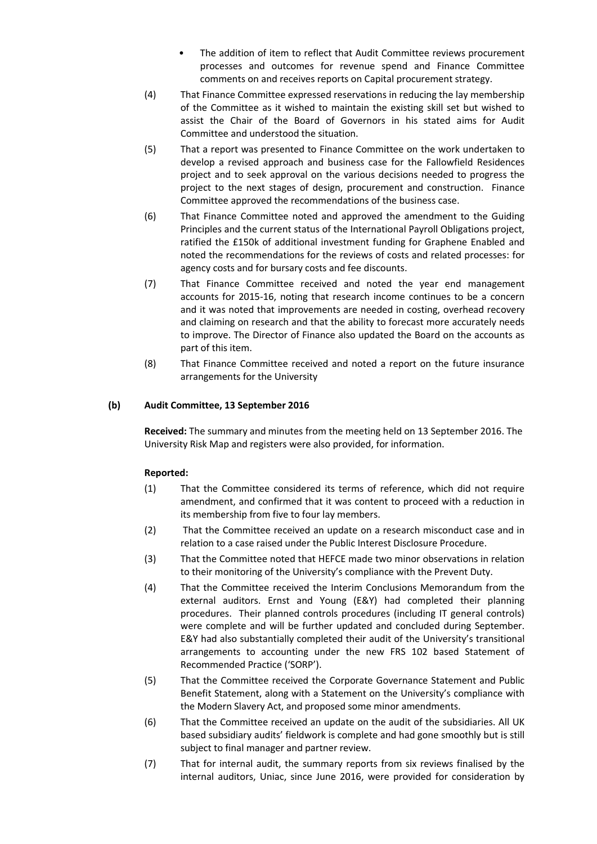- The addition of item to reflect that Audit Committee reviews procurement processes and outcomes for revenue spend and Finance Committee comments on and receives reports on Capital procurement strategy.
- (4) That Finance Committee expressed reservations in reducing the lay membership of the Committee as it wished to maintain the existing skill set but wished to assist the Chair of the Board of Governors in his stated aims for Audit Committee and understood the situation.
- (5) That a report was presented to Finance Committee on the work undertaken to develop a revised approach and business case for the Fallowfield Residences project and to seek approval on the various decisions needed to progress the project to the next stages of design, procurement and construction. Finance Committee approved the recommendations of the business case.
- (6) That Finance Committee noted and approved the amendment to the Guiding Principles and the current status of the International Payroll Obligations project, ratified the £150k of additional investment funding for Graphene Enabled and noted the recommendations for the reviews of costs and related processes: for agency costs and for bursary costs and fee discounts.
- (7) That Finance Committee received and noted the year end management accounts for 2015-16, noting that research income continues to be a concern and it was noted that improvements are needed in costing, overhead recovery and claiming on research and that the ability to forecast more accurately needs to improve. The Director of Finance also updated the Board on the accounts as part of this item.
- (8) That Finance Committee received and noted a report on the future insurance arrangements for the University

### **(b) Audit Committee, 13 September 2016**

**Received:** The summary and minutes from the meeting held on 13 September 2016. The University Risk Map and registers were also provided, for information.

- (1) That the Committee considered its terms of reference, which did not require amendment, and confirmed that it was content to proceed with a reduction in its membership from five to four lay members.
- (2) That the Committee received an update on a research misconduct case and in relation to a case raised under the Public Interest Disclosure Procedure.
- (3) That the Committee noted that HEFCE made two minor observations in relation to their monitoring of the University's compliance with the Prevent Duty.
- (4) That the Committee received the Interim Conclusions Memorandum from the external auditors. Ernst and Young (E&Y) had completed their planning procedures. Their planned controls procedures (including IT general controls) were complete and will be further updated and concluded during September. E&Y had also substantially completed their audit of the University's transitional arrangements to accounting under the new FRS 102 based Statement of Recommended Practice ('SORP').
- (5) That the Committee received the Corporate Governance Statement and Public Benefit Statement, along with a Statement on the University's compliance with the Modern Slavery Act, and proposed some minor amendments.
- (6) That the Committee received an update on the audit of the subsidiaries. All UK based subsidiary audits' fieldwork is complete and had gone smoothly but is still subject to final manager and partner review.
- (7) That for internal audit, the summary reports from six reviews finalised by the internal auditors, Uniac, since June 2016, were provided for consideration by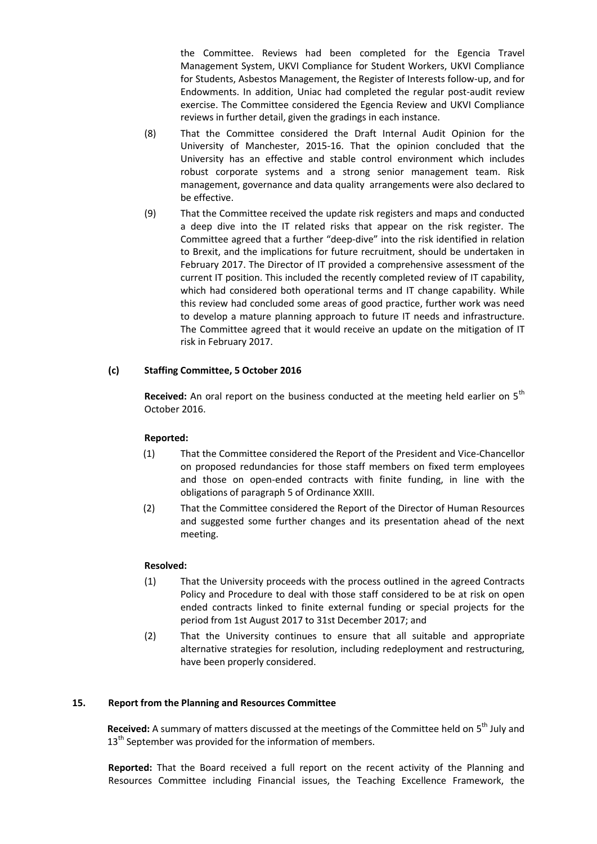the Committee. Reviews had been completed for the Egencia Travel Management System, UKVI Compliance for Student Workers, UKVI Compliance for Students, Asbestos Management, the Register of Interests follow-up, and for Endowments. In addition, Uniac had completed the regular post-audit review exercise. The Committee considered the Egencia Review and UKVI Compliance reviews in further detail, given the gradings in each instance.

- (8) That the Committee considered the Draft Internal Audit Opinion for the University of Manchester, 2015-16. That the opinion concluded that the University has an effective and stable control environment which includes robust corporate systems and a strong senior management team. Risk management, governance and data quality arrangements were also declared to be effective.
- (9) That the Committee received the update risk registers and maps and conducted a deep dive into the IT related risks that appear on the risk register. The Committee agreed that a further "deep-dive" into the risk identified in relation to Brexit, and the implications for future recruitment, should be undertaken in February 2017. The Director of IT provided a comprehensive assessment of the current IT position. This included the recently completed review of IT capability, which had considered both operational terms and IT change capability. While this review had concluded some areas of good practice, further work was need to develop a mature planning approach to future IT needs and infrastructure. The Committee agreed that it would receive an update on the mitigation of IT risk in February 2017.

## **(c) Staffing Committee, 5 October 2016**

**Received:** An oral report on the business conducted at the meeting held earlier on 5<sup>th</sup> October 2016.

## **Reported:**

- (1) That the Committee considered the Report of the President and Vice-Chancellor on proposed redundancies for those staff members on fixed term employees and those on open-ended contracts with finite funding, in line with the obligations of paragraph 5 of Ordinance XXIII.
- (2) That the Committee considered the Report of the Director of Human Resources and suggested some further changes and its presentation ahead of the next meeting.

## **Resolved:**

- (1) That the University proceeds with the process outlined in the agreed Contracts Policy and Procedure to deal with those staff considered to be at risk on open ended contracts linked to finite external funding or special projects for the period from 1st August 2017 to 31st December 2017; and
- (2) That the University continues to ensure that all suitable and appropriate alternative strategies for resolution, including redeployment and restructuring, have been properly considered.

## **15. Report from the Planning and Resources Committee**

Received: A summary of matters discussed at the meetings of the Committee held on 5<sup>th</sup> July and  $13<sup>th</sup>$  September was provided for the information of members.

**Reported:** That the Board received a full report on the recent activity of the Planning and Resources Committee including Financial issues, the Teaching Excellence Framework, the